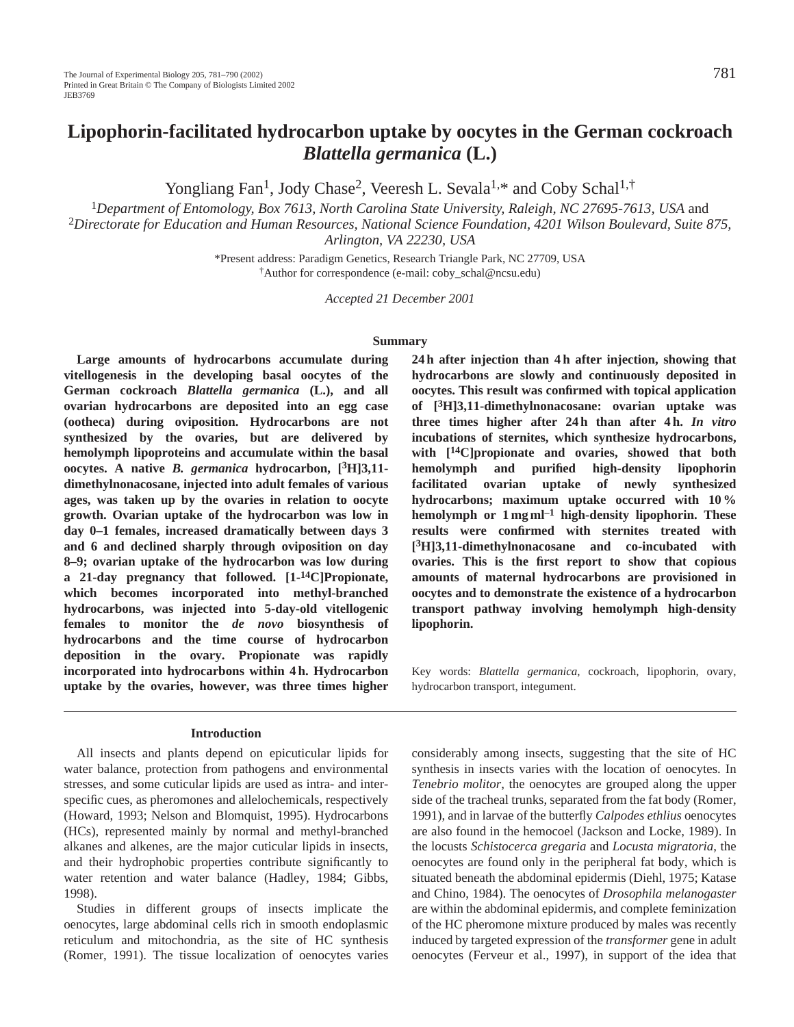Yongliang Fan<sup>1</sup>, Jody Chase<sup>2</sup>, Veeresh L. Sevala<sup>1,\*</sup> and Coby Schal<sup>1,†</sup>

<sup>1</sup>*Department of Entomology, Box 7613, North Carolina State University, Raleigh, NC 27695-7613, USA* and

<sup>2</sup>*Directorate for Education and Human Resources, National Science Foundation, 4201 Wilson Boulevard, Suite 875, Arlington, VA 22230, USA*

> \*Present address: Paradigm Genetics, Research Triangle Park, NC 27709, USA †Author for correspondence (e-mail: coby\_schal@ncsu.edu)

> > *Accepted 21 December 2001*

#### **Summary**

**Large amounts of hydrocarbons accumulate during vitellogenesis in the developing basal oocytes of the German cockroach** *Blattella germanica* **(L.), and all ovarian hydrocarbons are deposited into an egg case (ootheca) during oviposition. Hydrocarbons are not synthesized by the ovaries, but are delivered by hemolymph lipoproteins and accumulate within the basal oocytes. A native** *B. germanica* **hydrocarbon, [3H]3,11 dimethylnonacosane, injected into adult females of various ages, was taken up by the ovaries in relation to oocyte growth. Ovarian uptake of the hydrocarbon was low in day 0–1 females, increased dramatically between days 3 and 6 and declined sharply through oviposition on day 8–9; ovarian uptake of the hydrocarbon was low during a 21-day pregnancy that followed. [1-14C]Propionate, which becomes incorporated into methyl-branched hydrocarbons, was injected into 5-day-old vitellogenic females to monitor the** *de novo* **biosynthesis of hydrocarbons and the time course of hydrocarbon deposition in the ovary. Propionate was rapidly incorporated into hydrocarbons within 4 h. Hydrocarbon uptake by the ovaries, however, was three times higher**

#### **Introduction**

All insects and plants depend on epicuticular lipids for water balance, protection from pathogens and environmental stresses, and some cuticular lipids are used as intra- and interspecific cues, as pheromones and allelochemicals, respectively (Howard, 1993; Nelson and Blomquist, 1995). Hydrocarbons (HCs), represented mainly by normal and methyl-branched alkanes and alkenes, are the major cuticular lipids in insects, and their hydrophobic properties contribute significantly to water retention and water balance (Hadley, 1984; Gibbs, 1998).

Studies in different groups of insects implicate the oenocytes, large abdominal cells rich in smooth endoplasmic reticulum and mitochondria, as the site of HC synthesis (Romer, 1991). The tissue localization of oenocytes varies

**24 h after injection than 4 h after injection, showing that hydrocarbons are slowly and continuously deposited in oocytes. This result was confirmed with topical application of [3H]3,11-dimethylnonacosane: ovarian uptake was three times higher after 24 h than after 4 h.** *In vitro* **incubations of sternites, which synthesize hydrocarbons, with [14C]propionate and ovaries, showed that both hemolymph and purified high-density lipophorin facilitated ovarian uptake of newly synthesized hydrocarbons; maximum uptake occurred with 10 % hemolymph or 1 mg ml–1 high-density lipophorin. These results were confirmed with sternites treated with [3H]3,11-dimethylnonacosane and co-incubated with ovaries. This is the first report to show that copious amounts of maternal hydrocarbons are provisioned in oocytes and to demonstrate the existence of a hydrocarbon transport pathway involving hemolymph high-density lipophorin.**

Key words: *Blattella germanica*, cockroach, lipophorin, ovary, hydrocarbon transport, integument.

considerably among insects, suggesting that the site of HC synthesis in insects varies with the location of oenocytes. In *Tenebrio molitor*, the oenocytes are grouped along the upper side of the tracheal trunks, separated from the fat body (Romer, 1991), and in larvae of the butterfly *Calpodes ethlius* oenocytes are also found in the hemocoel (Jackson and Locke, 1989). In the locusts *Schistocerca gregaria* and *Locusta migratoria*, the oenocytes are found only in the peripheral fat body, which is situated beneath the abdominal epidermis (Diehl, 1975; Katase and Chino, 1984). The oenocytes of *Drosophila melanogaster* are within the abdominal epidermis, and complete feminization of the HC pheromone mixture produced by males was recently induced by targeted expression of the *transformer* gene in adult oenocytes (Ferveur et al., 1997), in support of the idea that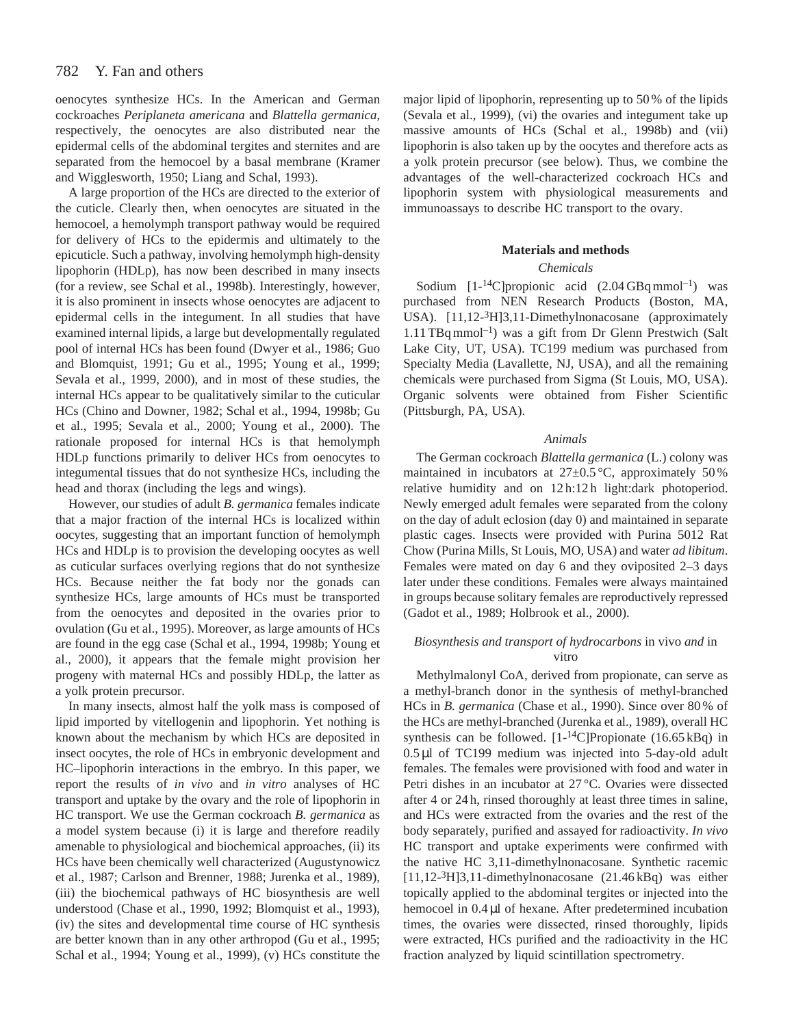oenocytes synthesize HCs. In the American and German cockroaches *Periplaneta americana* and *Blattella germanica*, respectively, the oenocytes are also distributed near the epidermal cells of the abdominal tergites and sternites and are separated from the hemocoel by a basal membrane (Kramer and Wigglesworth, 1950; Liang and Schal, 1993).

A large proportion of the HCs are directed to the exterior of the cuticle. Clearly then, when oenocytes are situated in the hemocoel, a hemolymph transport pathway would be required for delivery of HCs to the epidermis and ultimately to the epicuticle. Such a pathway, involving hemolymph high-density lipophorin (HDLp), has now been described in many insects (for a review, see Schal et al., 1998b). Interestingly, however, it is also prominent in insects whose oenocytes are adjacent to epidermal cells in the integument. In all studies that have examined internal lipids, a large but developmentally regulated pool of internal HCs has been found (Dwyer et al., 1986; Guo and Blomquist, 1991; Gu et al., 1995; Young et al., 1999; Sevala et al., 1999, 2000), and in most of these studies, the internal HCs appear to be qualitatively similar to the cuticular HCs (Chino and Downer, 1982; Schal et al., 1994, 1998b; Gu et al., 1995; Sevala et al., 2000; Young et al., 2000). The rationale proposed for internal HCs is that hemolymph HDLp functions primarily to deliver HCs from oenocytes to integumental tissues that do not synthesize HCs, including the head and thorax (including the legs and wings).

However, our studies of adult *B. germanica* females indicate that a major fraction of the internal HCs is localized within oocytes, suggesting that an important function of hemolymph HCs and HDLp is to provision the developing oocytes as well as cuticular surfaces overlying regions that do not synthesize HCs. Because neither the fat body nor the gonads can synthesize HCs, large amounts of HCs must be transported from the oenocytes and deposited in the ovaries prior to ovulation (Gu et al., 1995). Moreover, as large amounts of HCs are found in the egg case (Schal et al., 1994, 1998b; Young et al., 2000), it appears that the female might provision her progeny with maternal HCs and possibly HDLp, the latter as a yolk protein precursor.

In many insects, almost half the yolk mass is composed of lipid imported by vitellogenin and lipophorin. Yet nothing is known about the mechanism by which HCs are deposited in insect oocytes, the role of HCs in embryonic development and HC–lipophorin interactions in the embryo. In this paper, we report the results of *in vivo* and *in vitro* analyses of HC transport and uptake by the ovary and the role of lipophorin in HC transport. We use the German cockroach *B. germanica* as a model system because (i) it is large and therefore readily amenable to physiological and biochemical approaches, (ii) its HCs have been chemically well characterized (Augustynowicz et al., 1987; Carlson and Brenner, 1988; Jurenka et al., 1989), (iii) the biochemical pathways of HC biosynthesis are well understood (Chase et al., 1990, 1992; Blomquist et al., 1993), (iv) the sites and developmental time course of HC synthesis are better known than in any other arthropod (Gu et al., 1995; Schal et al., 1994; Young et al., 1999), (v) HCs constitute the

major lipid of lipophorin, representing up to 50 % of the lipids (Sevala et al., 1999), (vi) the ovaries and integument take up massive amounts of HCs (Schal et al., 1998b) and (vii) lipophorin is also taken up by the oocytes and therefore acts as a yolk protein precursor (see below). Thus, we combine the advantages of the well-characterized cockroach HCs and lipophorin system with physiological measurements and immunoassays to describe HC transport to the ovary.

#### **Materials and methods**

#### *Chemicals*

Sodium  $[1-14C]$ propionic acid  $(2.04 \text{ GBq mmol}^{-1})$  was purchased from NEN Research Products (Boston, MA, USA). [11,12-3H]3,11-Dimethylnonacosane (approximately  $1.11$  TBq mmol<sup>-1</sup>) was a gift from Dr Glenn Prestwich (Salt Lake City, UT, USA). TC199 medium was purchased from Specialty Media (Lavallette, NJ, USA), and all the remaining chemicals were purchased from Sigma (St Louis, MO, USA). Organic solvents were obtained from Fisher Scientific (Pittsburgh, PA, USA).

#### *Animals*

The German cockroach *Blattella germanica* (L.) colony was maintained in incubators at  $27 \pm 0.5$  °C, approximately 50% relative humidity and on 12 h:12 h light:dark photoperiod. Newly emerged adult females were separated from the colony on the day of adult eclosion (day 0) and maintained in separate plastic cages. Insects were provided with Purina 5012 Rat Chow (Purina Mills, St Louis, MO, USA) and water *ad libitum*. Females were mated on day 6 and they oviposited 2–3 days later under these conditions. Females were always maintained in groups because solitary females are reproductively repressed (Gadot et al., 1989; Holbrook et al., 2000).

# *Biosynthesis and transport of hydrocarbons* in vivo *and* in vitro

Methylmalonyl CoA, derived from propionate, can serve as a methyl-branch donor in the synthesis of methyl-branched HCs in *B. germanica* (Chase et al., 1990). Since over 80 % of the HCs are methyl-branched (Jurenka et al., 1989), overall HC synthesis can be followed. [1-14C]Propionate (16.65 kBq) in 0.5 µl of TC199 medium was injected into 5-day-old adult females. The females were provisioned with food and water in Petri dishes in an incubator at 27 °C. Ovaries were dissected after 4 or 24 h, rinsed thoroughly at least three times in saline, and HCs were extracted from the ovaries and the rest of the body separately, purified and assayed for radioactivity. *In vivo* HC transport and uptake experiments were confirmed with the native HC 3,11-dimethylnonacosane. Synthetic racemic [11,12-3H]3,11-dimethylnonacosane (21.46 kBq) was either topically applied to the abdominal tergites or injected into the hemocoel in  $0.4 \mu$ l of hexane. After predetermined incubation times, the ovaries were dissected, rinsed thoroughly, lipids were extracted, HCs purified and the radioactivity in the HC fraction analyzed by liquid scintillation spectrometry.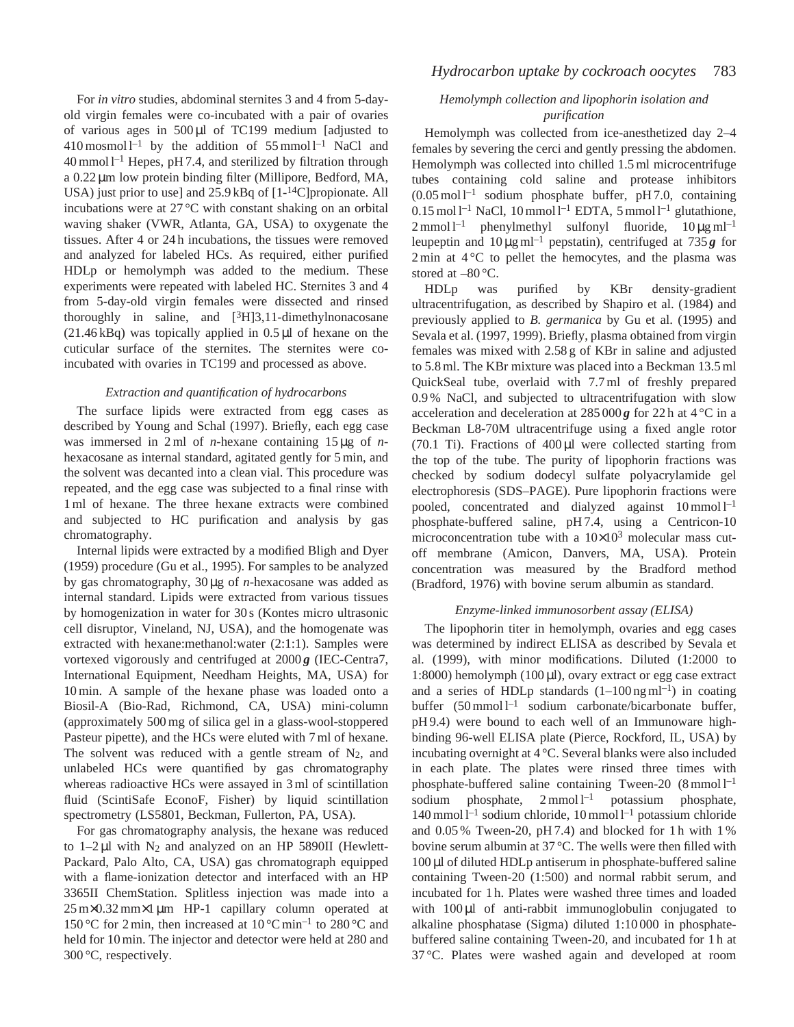For *in vitro* studies, abdominal sternites 3 and 4 from 5-dayold virgin females were co-incubated with a pair of ovaries of various ages in  $500 \mu l$  of TC199 medium [adjusted to  $410$  mosmol l<sup>-1</sup> by the addition of 55 mmol l<sup>-1</sup> NaCl and  $40$  mmol  $1^{-1}$  Hepes, pH 7.4, and sterilized by filtration through a 0.22 µm low protein binding filter (Millipore, Bedford, MA, USA) just prior to use] and 25.9 kBq of [1-14C]propionate. All incubations were at 27 °C with constant shaking on an orbital waving shaker (VWR, Atlanta, GA, USA) to oxygenate the tissues. After 4 or 24 h incubations, the tissues were removed and analyzed for labeled HCs. As required, either purified HDLp or hemolymph was added to the medium. These experiments were repeated with labeled HC. Sternites 3 and 4 from 5-day-old virgin females were dissected and rinsed thoroughly in saline, and  $[3H]3,11$ -dimethylnonacosane  $(21.46 \text{ kB})$  was topically applied in  $0.5 \mu$ l of hexane on the cuticular surface of the sternites. The sternites were coincubated with ovaries in TC199 and processed as above.

# *Extraction and quantification of hydrocarbons*

The surface lipids were extracted from egg cases as described by Young and Schal (1997). Briefly, each egg case was immersed in 2 ml of *n*-hexane containing 15 µg of *n*hexacosane as internal standard, agitated gently for 5 min, and the solvent was decanted into a clean vial. This procedure was repeated, and the egg case was subjected to a final rinse with 1 ml of hexane. The three hexane extracts were combined and subjected to HC purification and analysis by gas chromatography.

Internal lipids were extracted by a modified Bligh and Dyer (1959) procedure (Gu et al., 1995). For samples to be analyzed by gas chromatography, 30 µg of *n*-hexacosane was added as internal standard. Lipids were extracted from various tissues by homogenization in water for 30 s (Kontes micro ultrasonic cell disruptor, Vineland, NJ, USA), and the homogenate was extracted with hexane:methanol:water (2:1:1). Samples were vortexed vigorously and centrifuged at  $2000\mathbf{g}$  (IEC-Centra7, International Equipment, Needham Heights, MA, USA) for 10 min. A sample of the hexane phase was loaded onto a Biosil-A (Bio-Rad, Richmond, CA, USA) mini-column (approximately 500 mg of silica gel in a glass-wool-stoppered Pasteur pipette), and the HCs were eluted with 7 ml of hexane. The solvent was reduced with a gentle stream of  $N_2$ , and unlabeled HCs were quantified by gas chromatography whereas radioactive HCs were assayed in 3 ml of scintillation fluid (ScintiSafe EconoF, Fisher) by liquid scintillation spectrometry (LS5801, Beckman, Fullerton, PA, USA).

For gas chromatography analysis, the hexane was reduced to  $1-2 \mu l$  with N<sub>2</sub> and analyzed on an HP 5890II (Hewlett-Packard, Palo Alto, CA, USA) gas chromatograph equipped with a flame-ionization detector and interfaced with an HP 3365II ChemStation. Splitless injection was made into a 25 m×0.32 mm×1 µm HP-1 capillary column operated at 150 °C for 2 min, then increased at  $10^{\circ}$ C min<sup>-1</sup> to 280 °C and held for 10 min. The injector and detector were held at 280 and 300 °C, respectively.

# *Hemolymph collection and lipophorin isolation and purification*

Hemolymph was collected from ice-anesthetized day 2–4 females by severing the cerci and gently pressing the abdomen. Hemolymph was collected into chilled 1.5 ml microcentrifuge tubes containing cold saline and protease inhibitors  $(0.05 \text{ mol}^{-1})$  sodium phosphate buffer, pH 7.0, containing  $0.15 \text{ mol}^{-1}$  NaCl,  $10 \text{ mmol}^{-1}$  EDTA,  $5 \text{ mmol}^{-1}$  glutathione,  $2 \text{ mmol } l^{-1}$  phenylmethyl sulfonyl fluoride,  $10 \mu\text{g } ml^{-1}$ leupeptin and  $10 \mu g$  ml<sup>-1</sup> pepstatin), centrifuged at 735 *g* for  $2 \text{ min at } 4^{\circ} \text{C}$  to pellet the hemocytes, and the plasma was stored at  $-80^{\circ}$ C.

HDLp was purified by KBr density-gradient ultracentrifugation, as described by Shapiro et al. (1984) and previously applied to *B. germanica* by Gu et al. (1995) and Sevala et al. (1997, 1999). Briefly, plasma obtained from virgin females was mixed with 2.58 g of KBr in saline and adjusted to 5.8 ml. The KBr mixture was placed into a Beckman 13.5 ml QuickSeal tube, overlaid with 7.7 ml of freshly prepared 0.9 % NaCl, and subjected to ultracentrifugation with slow acceleration and deceleration at  $285000g$  for  $22h$  at  $4^{\circ}$ C in a Beckman L8-70M ultracentrifuge using a fixed angle rotor  $(70.1)$  Ti). Fractions of  $400 \mu l$  were collected starting from the top of the tube. The purity of lipophorin fractions was checked by sodium dodecyl sulfate polyacrylamide gel electrophoresis (SDS–PAGE). Pure lipophorin fractions were pooled, concentrated and dialyzed against  $10 \text{ mmol } l^{-1}$ phosphate-buffered saline, pH 7.4, using a Centricon-10 microconcentration tube with a  $10\times10^3$  molecular mass cutoff membrane (Amicon, Danvers, MA, USA). Protein concentration was measured by the Bradford method (Bradford, 1976) with bovine serum albumin as standard.

# *Enzyme-linked immunosorbent assay (ELISA)*

The lipophorin titer in hemolymph, ovaries and egg cases was determined by indirect ELISA as described by Sevala et al. (1999), with minor modifications. Diluted (1:2000 to 1:8000) hemolymph (100  $\mu$ l), ovary extract or egg case extract and a series of HDLp standards  $(1-100 \text{ ng ml}^{-1})$  in coating buffer  $(50 \text{ mmol } l^{-1}$  sodium carbonate/bicarbonate buffer, pH 9.4) were bound to each well of an Immunoware highbinding 96-well ELISA plate (Pierce, Rockford, IL, USA) by incubating overnight at 4 °C. Several blanks were also included in each plate. The plates were rinsed three times with phosphate-buffered saline containing Tween-20 (8 mmol l<sup>-1</sup> sodium phosphate,  $2 \text{mmol } l^{-1}$  potassium phosphate, 140 mmol  $l^{-1}$  sodium chloride, 10 mmol  $l^{-1}$  potassium chloride and 0.05 % Tween-20, pH 7.4) and blocked for 1 h with 1 % bovine serum albumin at 37 °C. The wells were then filled with 100 µl of diluted HDLp antiserum in phosphate-buffered saline containing Tween-20 (1:500) and normal rabbit serum, and incubated for 1 h. Plates were washed three times and loaded with 100 µl of anti-rabbit immunoglobulin conjugated to alkaline phosphatase (Sigma) diluted 1:10 000 in phosphatebuffered saline containing Tween-20, and incubated for 1 h at 37 °C. Plates were washed again and developed at room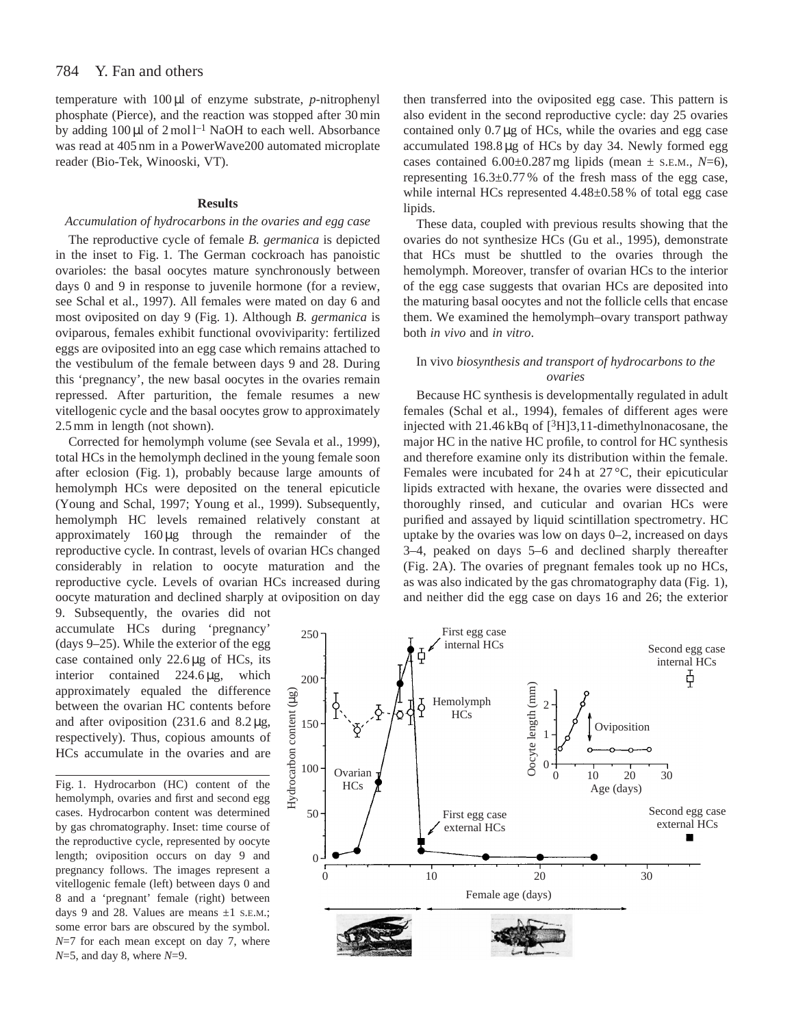temperature with 100 µl of enzyme substrate, *p*-nitrophenyl phosphate (Pierce), and the reaction was stopped after 30 min by adding  $100 \mu l$  of  $2 \text{ mol } l^{-1}$  NaOH to each well. Absorbance was read at 405 nm in a PowerWave200 automated microplate reader (Bio-Tek, Winooski, VT).

# **Results**

# *Accumulation of hydrocarbons in the ovaries and egg case*

The reproductive cycle of female *B. germanica* is depicted in the inset to Fig. 1. The German cockroach has panoistic ovarioles: the basal oocytes mature synchronously between days 0 and 9 in response to juvenile hormone (for a review, see Schal et al., 1997). All females were mated on day 6 and most oviposited on day 9 (Fig. 1). Although *B. germanica* is oviparous, females exhibit functional ovoviviparity: fertilized eggs are oviposited into an egg case which remains attached to the vestibulum of the female between days 9 and 28. During this 'pregnancy', the new basal oocytes in the ovaries remain repressed. After parturition, the female resumes a new vitellogenic cycle and the basal oocytes grow to approximately 2.5 mm in length (not shown).

Corrected for hemolymph volume (see Sevala et al., 1999), total HCs in the hemolymph declined in the young female soon after eclosion (Fig. 1), probably because large amounts of hemolymph HCs were deposited on the teneral epicuticle (Young and Schal, 1997; Young et al., 1999). Subsequently, hemolymph HC levels remained relatively constant at approximately 160 µg through the remainder of the reproductive cycle. In contrast, levels of ovarian HCs changed considerably in relation to oocyte maturation and the reproductive cycle. Levels of ovarian HCs increased during oocyte maturation and declined sharply at oviposition on day

9. Subsequently, the ovaries did not accumulate HCs during 'pregnancy' (days 9–25). While the exterior of the egg case contained only 22.6 µg of HCs, its interior contained 224.6 µg, which approximately equaled the difference between the ovarian HC contents before and after oviposition  $(231.6 \text{ and } 8.2 \mu\text{g})$ , respectively). Thus, copious amounts of HCs accumulate in the ovaries and are

Fig. 1. Hydrocarbon (HC) content of the hemolymph, ovaries and first and second egg cases. Hydrocarbon content was determined by gas chromatography. Inset: time course of the reproductive cycle, represented by oocyte length; oviposition occurs on day 9 and pregnancy follows. The images represent a vitellogenic female (left) between days 0 and 8 and a 'pregnant' female (right) between days 9 and 28. Values are means  $\pm 1$  s.e.m.; some error bars are obscured by the symbol. *N*=7 for each mean except on day 7, where *N*=5, and day 8, where *N*=9.

then transferred into the oviposited egg case. This pattern is also evident in the second reproductive cycle: day 25 ovaries contained only  $0.7 \mu g$  of HCs, while the ovaries and egg case accumulated 198.8 µg of HCs by day 34. Newly formed egg cases contained  $6.00\pm0.287$  mg lipids (mean  $\pm$  s.e.m.,  $N=6$ ), representing 16.3±0.77 % of the fresh mass of the egg case, while internal HCs represented  $4.48\pm0.58$  % of total egg case lipids.

These data, coupled with previous results showing that the ovaries do not synthesize HCs (Gu et al., 1995), demonstrate that HCs must be shuttled to the ovaries through the hemolymph. Moreover, transfer of ovarian HCs to the interior of the egg case suggests that ovarian HCs are deposited into the maturing basal oocytes and not the follicle cells that encase them. We examined the hemolymph–ovary transport pathway both *in vivo* and *in vitro*.

# In vivo *biosynthesis and transport of hydrocarbons to the ovaries*

Because HC synthesis is developmentally regulated in adult females (Schal et al., 1994), females of different ages were injected with  $21.46$  kBq of  $[3H]3,11$ -dimethylnonacosane, the major HC in the native HC profile, to control for HC synthesis and therefore examine only its distribution within the female. Females were incubated for 24 h at 27 °C, their epicuticular lipids extracted with hexane, the ovaries were dissected and thoroughly rinsed, and cuticular and ovarian HCs were purified and assayed by liquid scintillation spectrometry. HC uptake by the ovaries was low on days 0–2, increased on days 3–4, peaked on days 5–6 and declined sharply thereafter (Fig. 2A). The ovaries of pregnant females took up no HCs, as was also indicated by the gas chromatography data (Fig. 1), and neither did the egg case on days 16 and 26; the exterior

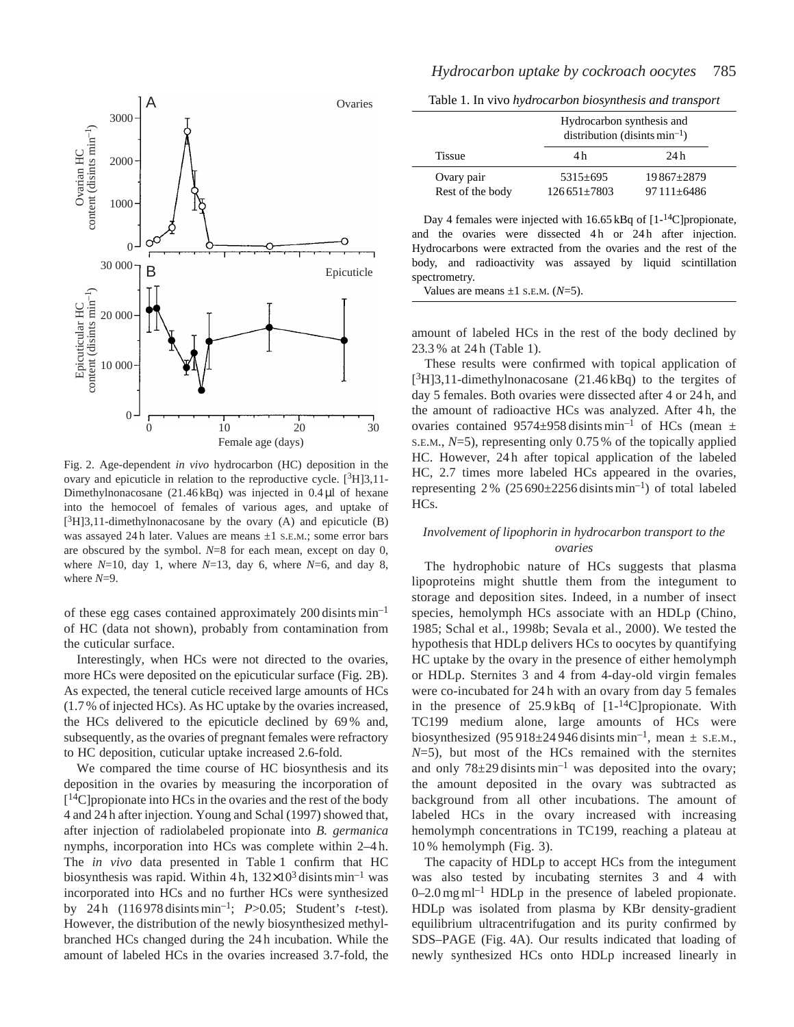

Fig. 2. Age-dependent *in vivo* hydrocarbon (HC) deposition in the ovary and epicuticle in relation to the reproductive cycle.  $[{}^{3}H]3,11-$ Dimethylnonacosane (21.46 kBq) was injected in 0.4 µl of hexane into the hemocoel of females of various ages, and uptake of  $[3H]3,11$ -dimethylnonacosane by the ovary (A) and epicuticle (B) was assayed 24 h later. Values are means  $\pm 1$  s.E.M.; some error bars are obscured by the symbol. *N*=8 for each mean, except on day 0, where  $N=10$ , day 1, where  $N=13$ , day 6, where  $N=6$ , and day 8, where *N*=9.

of these egg cases contained approximately 200 disints min–1 of HC (data not shown), probably from contamination from the cuticular surface.

Interestingly, when HCs were not directed to the ovaries, more HCs were deposited on the epicuticular surface (Fig. 2B). As expected, the teneral cuticle received large amounts of HCs (1.7 % of injected HCs). As HC uptake by the ovaries increased, the HCs delivered to the epicuticle declined by 69 % and, subsequently, as the ovaries of pregnant females were refractory to HC deposition, cuticular uptake increased 2.6-fold.

We compared the time course of HC biosynthesis and its deposition in the ovaries by measuring the incorporation of  $[14C]$ propionate into HCs in the ovaries and the rest of the body 4 and 24 h after injection. Young and Schal (1997) showed that, after injection of radiolabeled propionate into *B. germanica* nymphs, incorporation into HCs was complete within 2–4 h. The *in vivo* data presented in Table 1 confirm that HC biosynthesis was rapid. Within 4 h,  $132\times10^3$  disints min<sup>-1</sup> was incorporated into HCs and no further HCs were synthesized by 24 h (116 978 disints min–1; *P*>0.05; Student's *t*-test). However, the distribution of the newly biosynthesized methylbranched HCs changed during the 24 h incubation. While the amount of labeled HCs in the ovaries increased 3.7-fold, the

Table 1. In vivo *hydrocarbon biosynthesis and transport*

|                                | Hydrocarbon synthesis and<br>distribution (disints $min^{-1}$ ) |                              |
|--------------------------------|-----------------------------------------------------------------|------------------------------|
| <b>Tissue</b>                  | 4 h                                                             | 24 h                         |
| Ovary pair<br>Rest of the body | $5315+695$<br>$126651+7803$                                     | 19867±2879<br>$97111 + 6486$ |

Day 4 females were injected with 16.65 kBq of [1-14C]propionate, and the ovaries were dissected 4h or 24h after injection. Hydrocarbons were extracted from the ovaries and the rest of the body, and radioactivity was assayed by liquid scintillation spectrometry.

Values are means  $\pm 1$  s.E.M. ( $N=5$ ).

amount of labeled HCs in the rest of the body declined by 23.3 % at 24 h (Table 1).

These results were confirmed with topical application of  $[3H]3,11$ -dimethylnonacosane (21.46 kBq) to the tergites of day 5 females. Both ovaries were dissected after 4 or 24 h, and the amount of radioactive HCs was analyzed. After 4 h, the ovaries contained 9574±958 disints min<sup>-1</sup> of HCs (mean  $\pm$ S.E.M., *N*=5), representing only 0.75 % of the topically applied HC. However, 24 h after topical application of the labeled HC, 2.7 times more labeled HCs appeared in the ovaries, representing 2 %  $(25690\pm2256 \text{ distinct min}^{-1})$  of total labeled HCs.

# *Involvement of lipophorin in hydrocarbon transport to the ovaries*

The hydrophobic nature of HCs suggests that plasma lipoproteins might shuttle them from the integument to storage and deposition sites. Indeed, in a number of insect species, hemolymph HCs associate with an HDLp (Chino, 1985; Schal et al., 1998b; Sevala et al., 2000). We tested the hypothesis that HDLp delivers HCs to oocytes by quantifying HC uptake by the ovary in the presence of either hemolymph or HDLp. Sternites 3 and 4 from 4-day-old virgin females were co-incubated for 24 h with an ovary from day 5 females in the presence of  $25.9$  kBq of  $[1-$ <sup>14</sup>C]propionate. With TC199 medium alone, large amounts of HCs were biosynthesized  $(95918 \pm 24946$  disints min<sup>-1</sup>, mean  $\pm$  s.e.m., *N*=5), but most of the HCs remained with the sternites and only  $78\pm29$  disints min<sup>-1</sup> was deposited into the ovary; the amount deposited in the ovary was subtracted as background from all other incubations. The amount of labeled HCs in the ovary increased with increasing hemolymph concentrations in TC199, reaching a plateau at 10 % hemolymph (Fig. 3).

The capacity of HDLp to accept HCs from the integument was also tested by incubating sternites 3 and 4 with  $0-2.0$  mg ml<sup>-1</sup> HDLp in the presence of labeled propionate. HDLp was isolated from plasma by KBr density-gradient equilibrium ultracentrifugation and its purity confirmed by SDS–PAGE (Fig. 4A). Our results indicated that loading of newly synthesized HCs onto HDLp increased linearly in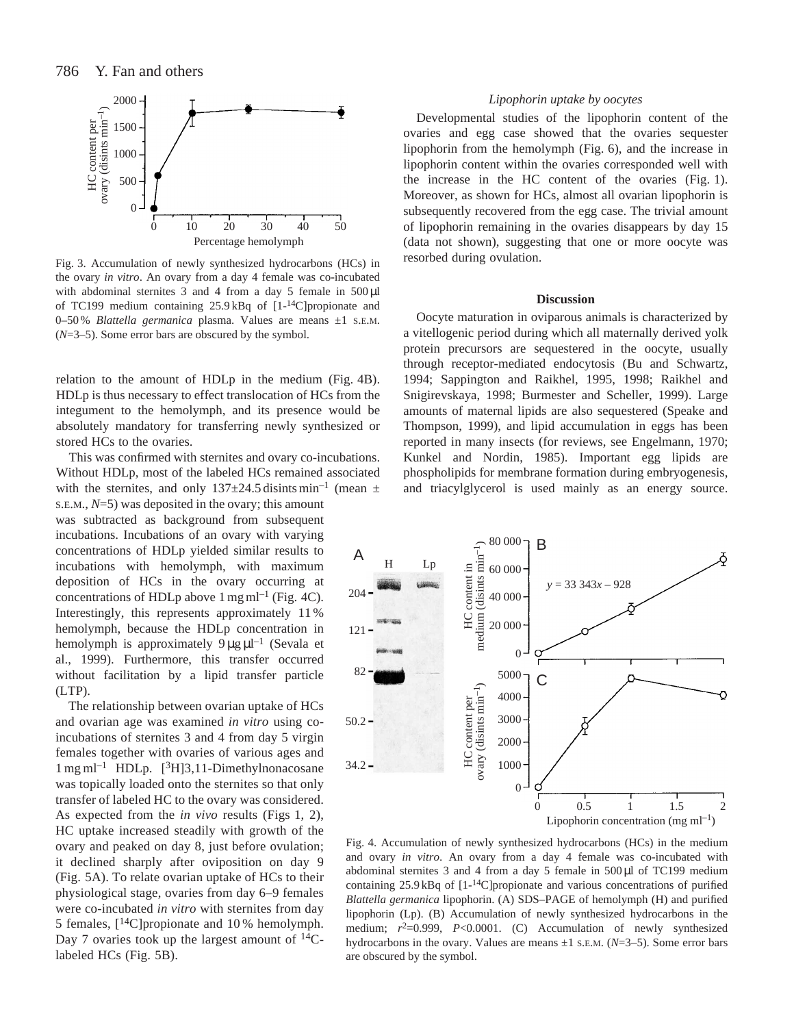

Fig. 3. Accumulation of newly synthesized hydrocarbons (HCs) in the ovary *in vitro*. An ovary from a day 4 female was co-incubated with abdominal sternites 3 and 4 from a day 5 female in 500 µl of TC199 medium containing 25.9 kBq of [1-14C]propionate and 0–50 % *Blattella germanica* plasma. Values are means ±1 S.E.M. (*N*=3–5). Some error bars are obscured by the symbol.

relation to the amount of HDLp in the medium (Fig. 4B). HDLp is thus necessary to effect translocation of HCs from the integument to the hemolymph, and its presence would be absolutely mandatory for transferring newly synthesized or stored HCs to the ovaries.

This was confirmed with sternites and ovary co-incubations. Without HDLp, most of the labeled HCs remained associated with the sternites, and only  $137\pm24.5$  disints min<sup>-1</sup> (mean  $\pm$ S.E.M., *N*=5) was deposited in the ovary; this amount was subtracted as background from subsequent incubations. Incubations of an ovary with varying concentrations of HDLp yielded similar results to incubations with hemolymph, with maximum deposition of HCs in the ovary occurring at concentrations of HDLp above  $1 \text{ mg ml}^{-1}$  (Fig. 4C). Interestingly, this represents approximately 11 % hemolymph, because the HDLp concentration in hemolymph is approximately  $9 \mu g \mu l^{-1}$  (Sevala et al., 1999). Furthermore, this transfer occurred without facilitation by a lipid transfer particle (LTP).

The relationship between ovarian uptake of HCs and ovarian age was examined *in vitro* using coincubations of sternites 3 and 4 from day 5 virgin females together with ovaries of various ages and 1 mg ml–1 HDLp. [3H]3,11-Dimethylnonacosane was topically loaded onto the sternites so that only transfer of labeled HC to the ovary was considered. As expected from the *in vivo* results (Figs 1, 2), HC uptake increased steadily with growth of the ovary and peaked on day 8, just before ovulation; it declined sharply after oviposition on day 9 (Fig. 5A). To relate ovarian uptake of HCs to their physiological stage, ovaries from day 6–9 females were co-incubated *in vitro* with sternites from day 5 females,  $[14C]$ propionate and 10 % hemolymph. Day 7 ovaries took up the largest amount of  $^{14}C$ labeled HCs (Fig. 5B).

# *Lipophorin uptake by oocytes*

Developmental studies of the lipophorin content of the ovaries and egg case showed that the ovaries sequester lipophorin from the hemolymph (Fig. 6), and the increase in lipophorin content within the ovaries corresponded well with the increase in the HC content of the ovaries (Fig. 1). Moreover, as shown for HCs, almost all ovarian lipophorin is subsequently recovered from the egg case. The trivial amount of lipophorin remaining in the ovaries disappears by day 15 (data not shown), suggesting that one or more oocyte was resorbed during ovulation.

#### **Discussion**

Oocyte maturation in oviparous animals is characterized by a vitellogenic period during which all maternally derived yolk protein precursors are sequestered in the oocyte, usually through receptor-mediated endocytosis (Bu and Schwartz, 1994; Sappington and Raikhel, 1995, 1998; Raikhel and Snigirevskaya, 1998; Burmester and Scheller, 1999). Large amounts of maternal lipids are also sequestered (Speake and Thompson, 1999), and lipid accumulation in eggs has been reported in many insects (for reviews, see Engelmann, 1970; Kunkel and Nordin, 1985). Important egg lipids are phospholipids for membrane formation during embryogenesis, and triacylglycerol is used mainly as an energy source.



Fig. 4. Accumulation of newly synthesized hydrocarbons (HCs) in the medium and ovary *in vitro*. An ovary from a day 4 female was co-incubated with abdominal sternites  $3$  and  $4$  from a day  $5$  female in  $500 \mu$ l of TC199 medium containing  $25.9 \text{ kB}$ q of  $[1^{-14}C]$ propionate and various concentrations of purified *Blattella germanica* lipophorin. (A) SDS–PAGE of hemolymph (H) and purified lipophorin (Lp). (B) Accumulation of newly synthesized hydrocarbons in the medium;  $r^2=0.999$ ,  $P<0.0001$ . (C) Accumulation of newly synthesized hydrocarbons in the ovary. Values are means ±1 S.E.M. (*N*=3–5). Some error bars are obscured by the symbol.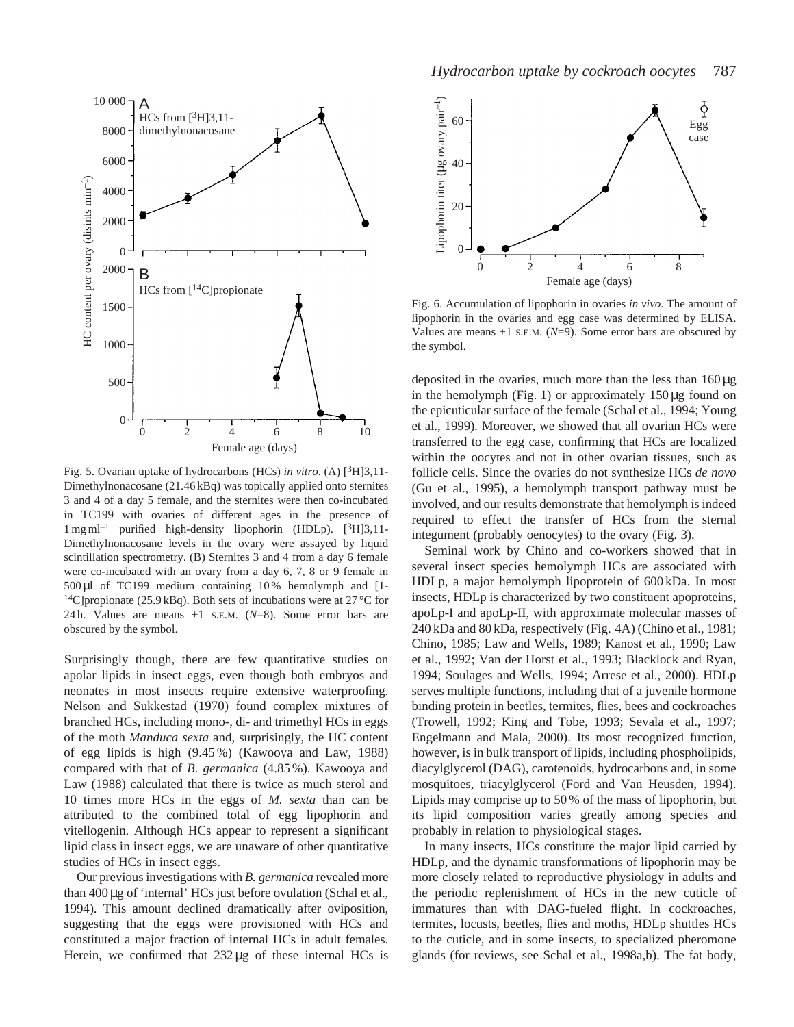

Fig. 5. Ovarian uptake of hydrocarbons (HCs) *in vitro*. (A) [3H]3,11- Dimethylnonacosane (21.46 kBq) was topically applied onto sternites 3 and 4 of a day 5 female, and the sternites were then co-incubated in TC199 with ovaries of different ages in the presence of  $1 \text{ mg ml}^{-1}$  purified high-density lipophorin (HDLp). [<sup>3</sup>H]3,11-Dimethylnonacosane levels in the ovary were assayed by liquid scintillation spectrometry. (B) Sternites 3 and 4 from a day 6 female were co-incubated with an ovary from a day 6, 7, 8 or 9 female in 500 µl of TC199 medium containing 10 % hemolymph and [1- <sup>14</sup>C]propionate (25.9 kBq). Both sets of incubations were at 27 °C for 24 h. Values are means ±1 S.E.M. (*N*=8). Some error bars are obscured by the symbol.

Surprisingly though, there are few quantitative studies on apolar lipids in insect eggs, even though both embryos and neonates in most insects require extensive waterproofing. Nelson and Sukkestad (1970) found complex mixtures of branched HCs, including mono-, di- and trimethyl HCs in eggs of the moth *Manduca sexta* and, surprisingly, the HC content of egg lipids is high (9.45 %) (Kawooya and Law, 1988) compared with that of *B. germanica* (4.85 %). Kawooya and Law (1988) calculated that there is twice as much sterol and 10 times more HCs in the eggs of *M. sexta* than can be attributed to the combined total of egg lipophorin and vitellogenin. Although HCs appear to represent a significant lipid class in insect eggs, we are unaware of other quantitative studies of HCs in insect eggs.

Our previous investigations with *B. germanica* revealed more than 400µg of 'internal' HCs just before ovulation (Schal et al., 1994). This amount declined dramatically after oviposition, suggesting that the eggs were provisioned with HCs and constituted a major fraction of internal HCs in adult females. Herein, we confirmed that 232 µg of these internal HCs is



Fig. 6. Accumulation of lipophorin in ovaries *in vivo*. The amount of lipophorin in the ovaries and egg case was determined by ELISA. Values are means  $\pm 1$  s.E.M. ( $N=9$ ). Some error bars are obscured by the symbol.

deposited in the ovaries, much more than the less than  $160 \mu g$ in the hemolymph (Fig. 1) or approximately  $150 \mu g$  found on the epicuticular surface of the female (Schal et al., 1994; Young et al., 1999). Moreover, we showed that all ovarian HCs were transferred to the egg case, confirming that HCs are localized within the oocytes and not in other ovarian tissues, such as follicle cells. Since the ovaries do not synthesize HCs *de novo* (Gu et al., 1995), a hemolymph transport pathway must be involved, and our results demonstrate that hemolymph is indeed required to effect the transfer of HCs from the sternal integument (probably oenocytes) to the ovary (Fig. 3).

Seminal work by Chino and co-workers showed that in several insect species hemolymph HCs are associated with HDLp, a major hemolymph lipoprotein of 600 kDa. In most insects, HDLp is characterized by two constituent apoproteins, apoLp-I and apoLp-II, with approximate molecular masses of 240 kDa and 80 kDa, respectively (Fig. 4A) (Chino et al., 1981; Chino, 1985; Law and Wells, 1989; Kanost et al., 1990; Law et al., 1992; Van der Horst et al., 1993; Blacklock and Ryan, 1994; Soulages and Wells, 1994; Arrese et al., 2000). HDLp serves multiple functions, including that of a juvenile hormone binding protein in beetles, termites, flies, bees and cockroaches (Trowell, 1992; King and Tobe, 1993; Sevala et al., 1997; Engelmann and Mala, 2000). Its most recognized function, however, is in bulk transport of lipids, including phospholipids, diacylglycerol (DAG), carotenoids, hydrocarbons and, in some mosquitoes, triacylglycerol (Ford and Van Heusden, 1994). Lipids may comprise up to 50 % of the mass of lipophorin, but its lipid composition varies greatly among species and probably in relation to physiological stages.

In many insects, HCs constitute the major lipid carried by HDLp, and the dynamic transformations of lipophorin may be more closely related to reproductive physiology in adults and the periodic replenishment of HCs in the new cuticle of immatures than with DAG-fueled flight. In cockroaches, termites, locusts, beetles, flies and moths, HDLp shuttles HCs to the cuticle, and in some insects, to specialized pheromone glands (for reviews, see Schal et al., 1998a,b). The fat body,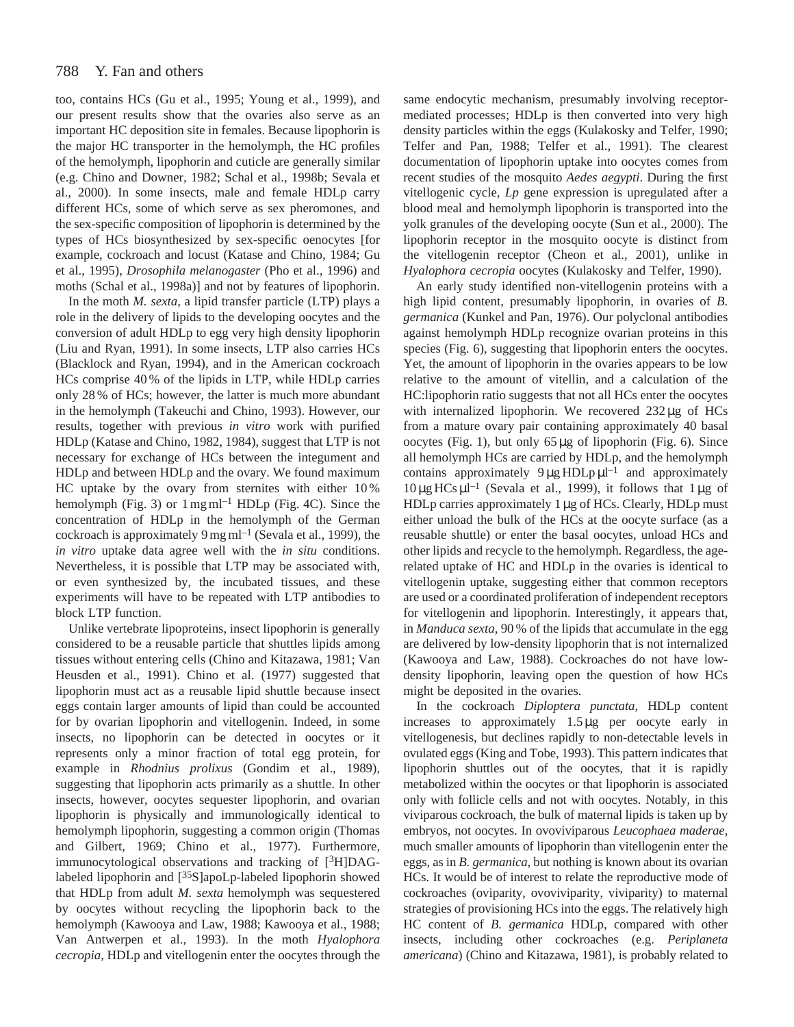#### 788 Y. Fan and others

too, contains HCs (Gu et al., 1995; Young et al., 1999), and our present results show that the ovaries also serve as an important HC deposition site in females. Because lipophorin is the major HC transporter in the hemolymph, the HC profiles of the hemolymph, lipophorin and cuticle are generally similar (e.g. Chino and Downer, 1982; Schal et al., 1998b; Sevala et al., 2000). In some insects, male and female HDLp carry different HCs, some of which serve as sex pheromones, and the sex-specific composition of lipophorin is determined by the types of HCs biosynthesized by sex-specific oenocytes [for example, cockroach and locust (Katase and Chino, 1984; Gu et al., 1995), *Drosophila melanogaster* (Pho et al., 1996) and moths (Schal et al., 1998a)] and not by features of lipophorin.

In the moth *M. sexta*, a lipid transfer particle (LTP) plays a role in the delivery of lipids to the developing oocytes and the conversion of adult HDLp to egg very high density lipophorin (Liu and Ryan, 1991). In some insects, LTP also carries HCs (Blacklock and Ryan, 1994), and in the American cockroach HCs comprise 40 % of the lipids in LTP, while HDLp carries only 28 % of HCs; however, the latter is much more abundant in the hemolymph (Takeuchi and Chino, 1993). However, our results, together with previous *in vitro* work with purified HDLp (Katase and Chino, 1982, 1984), suggest that LTP is not necessary for exchange of HCs between the integument and HDLp and between HDLp and the ovary. We found maximum HC uptake by the ovary from sternites with either 10 % hemolymph (Fig. 3) or  $1 \text{ mg ml}^{-1}$  HDLp (Fig. 4C). Since the concentration of HDLp in the hemolymph of the German cockroach is approximately 9 mg  $ml^{-1}$  (Sevala et al., 1999), the *in vitro* uptake data agree well with the *in situ* conditions. Nevertheless, it is possible that LTP may be associated with, or even synthesized by, the incubated tissues, and these experiments will have to be repeated with LTP antibodies to block LTP function.

Unlike vertebrate lipoproteins, insect lipophorin is generally considered to be a reusable particle that shuttles lipids among tissues without entering cells (Chino and Kitazawa, 1981; Van Heusden et al., 1991). Chino et al. (1977) suggested that lipophorin must act as a reusable lipid shuttle because insect eggs contain larger amounts of lipid than could be accounted for by ovarian lipophorin and vitellogenin. Indeed, in some insects, no lipophorin can be detected in oocytes or it represents only a minor fraction of total egg protein, for example in *Rhodnius prolixus* (Gondim et al., 1989), suggesting that lipophorin acts primarily as a shuttle. In other insects, however, oocytes sequester lipophorin, and ovarian lipophorin is physically and immunologically identical to hemolymph lipophorin, suggesting a common origin (Thomas and Gilbert, 1969; Chino et al., 1977). Furthermore, immunocytological observations and tracking of [3H]DAGlabeled lipophorin and [<sup>35</sup>S]apoLp-labeled lipophorin showed that HDLp from adult *M. sexta* hemolymph was sequestered by oocytes without recycling the lipophorin back to the hemolymph (Kawooya and Law, 1988; Kawooya et al., 1988; Van Antwerpen et al., 1993). In the moth *Hyalophora cecropia*, HDLp and vitellogenin enter the oocytes through the

same endocytic mechanism, presumably involving receptormediated processes; HDLp is then converted into very high density particles within the eggs (Kulakosky and Telfer, 1990; Telfer and Pan, 1988; Telfer et al., 1991). The clearest documentation of lipophorin uptake into oocytes comes from recent studies of the mosquito *Aedes aegypti*. During the first vitellogenic cycle, *Lp* gene expression is upregulated after a blood meal and hemolymph lipophorin is transported into the yolk granules of the developing oocyte (Sun et al., 2000). The lipophorin receptor in the mosquito oocyte is distinct from the vitellogenin receptor (Cheon et al., 2001), unlike in *Hyalophora cecropia* oocytes (Kulakosky and Telfer, 1990).

An early study identified non-vitellogenin proteins with a high lipid content, presumably lipophorin, in ovaries of *B. germanica* (Kunkel and Pan, 1976). Our polyclonal antibodies against hemolymph HDLp recognize ovarian proteins in this species (Fig. 6), suggesting that lipophorin enters the oocytes. Yet, the amount of lipophorin in the ovaries appears to be low relative to the amount of vitellin, and a calculation of the HC:lipophorin ratio suggests that not all HCs enter the oocytes with internalized lipophorin. We recovered  $232 \mu$ g of HCs from a mature ovary pair containing approximately 40 basal oocytes (Fig. 1), but only 65 µg of lipophorin (Fig. 6). Since all hemolymph HCs are carried by HDLp, and the hemolymph contains approximately  $9 \mu g H D L p \mu l^{-1}$  and approximately  $10 \mu g$  HCs  $\mu$ <sup>-1</sup> (Sevala et al., 1999), it follows that 1  $\mu$ g of HDLp carries approximately 1 µg of HCs. Clearly, HDLp must either unload the bulk of the HCs at the oocyte surface (as a reusable shuttle) or enter the basal oocytes, unload HCs and other lipids and recycle to the hemolymph. Regardless, the agerelated uptake of HC and HDLp in the ovaries is identical to vitellogenin uptake, suggesting either that common receptors are used or a coordinated proliferation of independent receptors for vitellogenin and lipophorin. Interestingly, it appears that, in *Manduca sexta*, 90 % of the lipids that accumulate in the egg are delivered by low-density lipophorin that is not internalized (Kawooya and Law, 1988). Cockroaches do not have lowdensity lipophorin, leaving open the question of how HCs might be deposited in the ovaries.

In the cockroach *Diploptera punctata*, HDLp content increases to approximately 1.5µg per oocyte early in vitellogenesis, but declines rapidly to non-detectable levels in ovulated eggs (King and Tobe, 1993). This pattern indicates that lipophorin shuttles out of the oocytes, that it is rapidly metabolized within the oocytes or that lipophorin is associated only with follicle cells and not with oocytes. Notably, in this viviparous cockroach, the bulk of maternal lipids is taken up by embryos, not oocytes. In ovoviviparous *Leucophaea maderae*, much smaller amounts of lipophorin than vitellogenin enter the eggs, as in *B. germanica*, but nothing is known about its ovarian HCs. It would be of interest to relate the reproductive mode of cockroaches (oviparity, ovoviviparity, viviparity) to maternal strategies of provisioning HCs into the eggs. The relatively high HC content of *B. germanica* HDLp, compared with other insects, including other cockroaches (e.g. *Periplaneta americana*) (Chino and Kitazawa, 1981), is probably related to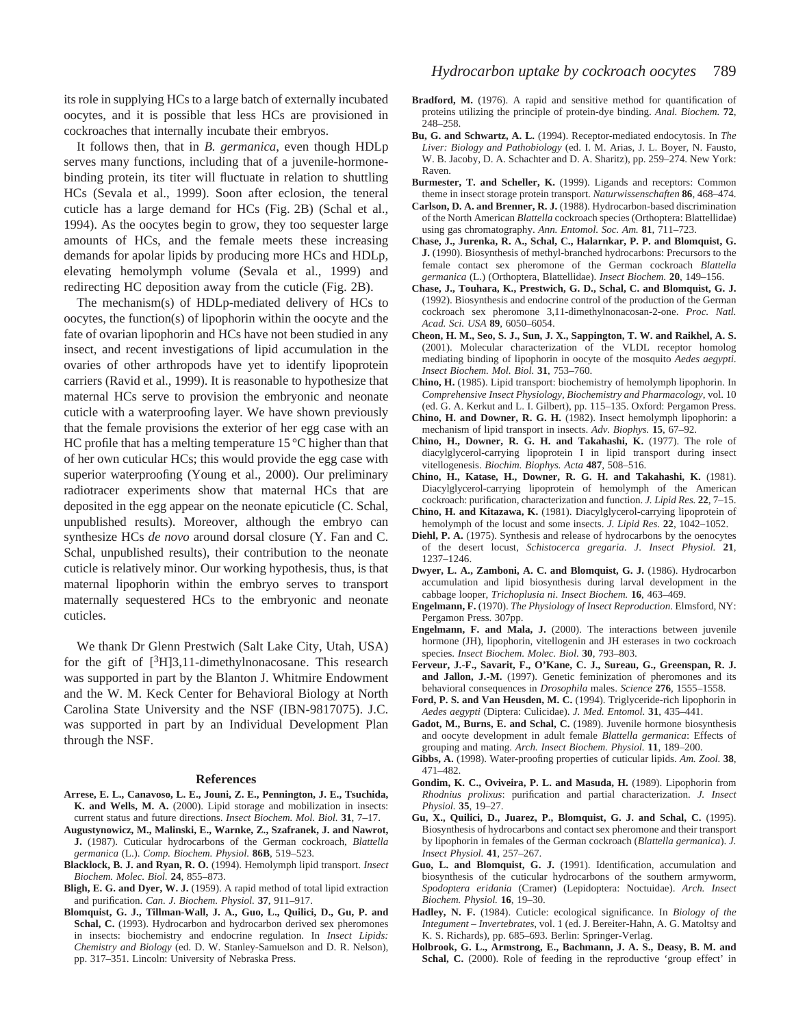its role in supplying HCs to a large batch of externally incubated oocytes, and it is possible that less HCs are provisioned in cockroaches that internally incubate their embryos.

It follows then, that in *B. germanica*, even though HDLp serves many functions, including that of a juvenile-hormonebinding protein, its titer will fluctuate in relation to shuttling HCs (Sevala et al., 1999). Soon after eclosion, the teneral cuticle has a large demand for HCs (Fig. 2B) (Schal et al., 1994). As the oocytes begin to grow, they too sequester large amounts of HCs, and the female meets these increasing demands for apolar lipids by producing more HCs and HDLp, elevating hemolymph volume (Sevala et al., 1999) and redirecting HC deposition away from the cuticle (Fig. 2B).

The mechanism(s) of HDLp-mediated delivery of HCs to oocytes, the function(s) of lipophorin within the oocyte and the fate of ovarian lipophorin and HCs have not been studied in any insect, and recent investigations of lipid accumulation in the ovaries of other arthropods have yet to identify lipoprotein carriers (Ravid et al., 1999). It is reasonable to hypothesize that maternal HCs serve to provision the embryonic and neonate cuticle with a waterproofing layer. We have shown previously that the female provisions the exterior of her egg case with an HC profile that has a melting temperature 15 °C higher than that of her own cuticular HCs; this would provide the egg case with superior waterproofing (Young et al., 2000). Our preliminary radiotracer experiments show that maternal HCs that are deposited in the egg appear on the neonate epicuticle (C. Schal, unpublished results). Moreover, although the embryo can synthesize HCs *de novo* around dorsal closure (Y. Fan and C. Schal, unpublished results), their contribution to the neonate cuticle is relatively minor. Our working hypothesis, thus, is that maternal lipophorin within the embryo serves to transport maternally sequestered HCs to the embryonic and neonate cuticles.

We thank Dr Glenn Prestwich (Salt Lake City, Utah, USA) for the gift of  $[3H]3,11$ -dimethylnonacosane. This research was supported in part by the Blanton J. Whitmire Endowment and the W. M. Keck Center for Behavioral Biology at North Carolina State University and the NSF (IBN-9817075). J.C. was supported in part by an Individual Development Plan through the NSF.

#### **References**

- **Arrese, E. L., Canavoso, L. E., Jouni, Z. E., Pennington, J. E., Tsuchida, K. and Wells, M. A.** (2000). Lipid storage and mobilization in insects: current status and future directions. *Insect Biochem. Mol. Biol.* **31**, 7–17.
- **Augustynowicz, M., Malinski, E., Warnke, Z., Szafranek, J. and Nawrot, J.** (1987). Cuticular hydrocarbons of the German cockroach, *Blattella germanica* (L.). *Comp. Biochem. Physiol.* **86B**, 519–523.
- **Blacklock, B. J. and Ryan, R. O.** (1994). Hemolymph lipid transport. *Insect Biochem. Molec. Biol.* **24**, 855–873.
- **Bligh, E. G. and Dyer, W. J.** (1959). A rapid method of total lipid extraction and purification. *Can. J. Biochem. Physiol.* **37**, 911–917.
- **Blomquist, G. J., Tillman-Wall, J. A., Guo, L., Quilici, D., Gu, P. and** Schal, C. (1993). Hydrocarbon and hydrocarbon derived sex pheromones in insects: biochemistry and endocrine regulation. In *Insect Lipids: Chemistry and Biology* (ed. D. W. Stanley-Samuelson and D. R. Nelson), pp. 317–351. Lincoln: University of Nebraska Press.
- **Bradford, M.** (1976). A rapid and sensitive method for quantification of proteins utilizing the principle of protein-dye binding. *Anal. Biochem.* **72**, 248–258.
- **Bu, G. and Schwartz, A. L.** (1994). Receptor-mediated endocytosis. In *The Liver: Biology and Pathobiology* (ed. I. M. Arias, J. L. Boyer, N. Fausto, W. B. Jacoby, D. A. Schachter and D. A. Sharitz), pp. 259–274. New York: Raven.
- **Burmester, T. and Scheller, K.** (1999). Ligands and receptors: Common theme in insect storage protein transport. *Naturwissenschaften* **86**, 468–474.
- **Carlson, D. A. and Brenner, R. J.** (1988). Hydrocarbon-based discrimination of the North American *Blattella* cockroach species (Orthoptera: Blattellidae) using gas chromatography. *Ann. Entomol. Soc. Am.* **81**, 711–723.
- **Chase, J., Jurenka, R. A., Schal, C., Halarnkar, P. P. and Blomquist, G. J.** (1990). Biosynthesis of methyl-branched hydrocarbons: Precursors to the female contact sex pheromone of the German cockroach *Blattella germanica* (L.) (Orthoptera, Blattellidae). *Insect Biochem.* **20**, 149–156.
- **Chase, J., Touhara, K., Prestwich, G. D., Schal, C. and Blomquist, G. J.** (1992). Biosynthesis and endocrine control of the production of the German cockroach sex pheromone 3,11-dimethylnonacosan-2-one. *Proc. Natl. Acad. Sci. USA* **89**, 6050–6054.
- **Cheon, H. M., Seo, S. J., Sun, J. X., Sappington, T. W. and Raikhel, A. S.** (2001). Molecular characterization of the VLDL receptor homolog mediating binding of lipophorin in oocyte of the mosquito *Aedes aegypti*. *Insect Biochem. Mol. Biol.* **31**, 753–760.
- **Chino, H.** (1985). Lipid transport: biochemistry of hemolymph lipophorin. In *Comprehensive Insect Physiology, Biochemistry and Pharmacology*, vol. 10 (ed. G. A. Kerkut and L. I. Gilbert), pp. 115–135. Oxford: Pergamon Press.
- **Chino, H. and Downer, R. G. H.** (1982). Insect hemolymph lipophorin: a mechanism of lipid transport in insects. *Adv. Biophys.* **15**, 67–92.
- **Chino, H., Downer, R. G. H. and Takahashi, K.** (1977). The role of diacylglycerol-carrying lipoprotein I in lipid transport during insect vitellogenesis. *Biochim. Biophys. Acta* **487**, 508–516.
- **Chino, H., Katase, H., Downer, R. G. H. and Takahashi, K.** (1981). Diacylglycerol-carrying lipoprotein of hemolymph of the American cockroach: purification, characterization and function. *J. Lipid Res.* **22**, 7–15.
- **Chino, H. and Kitazawa, K.** (1981). Diacylglycerol-carrying lipoprotein of hemolymph of the locust and some insects. *J. Lipid Res.* **22**, 1042–1052.
- **Diehl, P. A.** (1975). Synthesis and release of hydrocarbons by the oenocytes of the desert locust, *Schistocerca gregaria*. *J. Insect Physiol.* **21**, 1237–1246.
- **Dwyer, L. A., Zamboni, A. C. and Blomquist, G. J.** (1986). Hydrocarbon accumulation and lipid biosynthesis during larval development in the cabbage looper, *Trichoplusia ni*. *Insect Biochem.* **16**, 463–469.
- **Engelmann, F.** (1970). *The Physiology of Insect Reproduction*. Elmsford, NY: Pergamon Press. 307pp.
- **Engelmann, F. and Mala, J.** (2000). The interactions between juvenile hormone (JH), lipophorin, vitellogenin and JH esterases in two cockroach species. *Insect Biochem. Molec. Biol.* **30**, 793–803.
- **Ferveur, J.-F., Savarit, F., O'Kane, C. J., Sureau, G., Greenspan, R. J. and Jallon, J.-M.** (1997). Genetic feminization of pheromones and its behavioral consequences in *Drosophila* males. *Science* **276**, 1555–1558.
- **Ford, P. S. and Van Heusden, M. C.** (1994). Triglyceride-rich lipophorin in *Aedes aegypti* (Diptera: Culicidae). *J. Med. Entomol.* **31**, 435–441.
- Gadot, M., Burns, E. and Schal, C. (1989). Juvenile hormone biosynthesis and oocyte development in adult female *Blattella germanica*: Effects of grouping and mating. *Arch. Insect Biochem. Physiol.* **11**, 189–200.
- **Gibbs, A.** (1998). Water-proofing properties of cuticular lipids. *Am. Zool.* **38**, 471–482.
- **Gondim, K. C., Oviveira, P. L. and Masuda, H.** (1989). Lipophorin from *Rhodnius prolixus*: purification and partial characterization. *J. Insect Physiol.* **35**, 19–27.
- **Gu, X., Quilici, D., Juarez, P., Blomquist, G. J. and Schal, C.** (1995). Biosynthesis of hydrocarbons and contact sex pheromone and their transport by lipophorin in females of the German cockroach (*Blattella germanica*). *J. Insect Physiol.* **41**, 257–267.
- **Guo, L. and Blomquist, G. J.** (1991). Identification, accumulation and biosynthesis of the cuticular hydrocarbons of the southern armyworm, *Spodoptera eridania* (Cramer) (Lepidoptera: Noctuidae). *Arch. Insect Biochem. Physiol.* **16**, 19–30.
- **Hadley, N. F.** (1984). Cuticle: ecological significance. In *Biology of the Integument – Invertebrates*, vol. 1 (ed. J. Bereiter-Hahn, A. G. Matoltsy and K. S. Richards), pp. 685–693. Berlin: Springer-Verlag.
- **Holbrook, G. L., Armstrong, E., Bachmann, J. A. S., Deasy, B. M. and** Schal, C. (2000). Role of feeding in the reproductive 'group effect' in